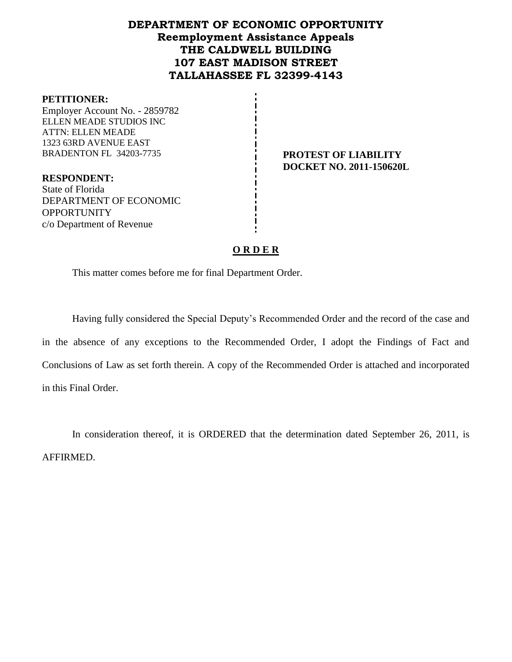# **DEPARTMENT OF ECONOMIC OPPORTUNITY Reemployment Assistance Appeals THE CALDWELL BUILDING 107 EAST MADISON STREET TALLAHASSEE FL 32399-4143**

#### **PETITIONER:**

Employer Account No. - 2859782 ELLEN MEADE STUDIOS INC ATTN: ELLEN MEADE 1323 63RD AVENUE EAST BRADENTON FL 34203-7735 **PROTEST OF LIABILITY** 

**DOCKET NO. 2011-150620L**

**RESPONDENT:** State of Florida DEPARTMENT OF ECONOMIC **OPPORTUNITY** c/o Department of Revenue

#### **O R D E R**

This matter comes before me for final Department Order.

Having fully considered the Special Deputy's Recommended Order and the record of the case and in the absence of any exceptions to the Recommended Order, I adopt the Findings of Fact and Conclusions of Law as set forth therein. A copy of the Recommended Order is attached and incorporated in this Final Order.

In consideration thereof, it is ORDERED that the determination dated September 26, 2011, is AFFIRMED.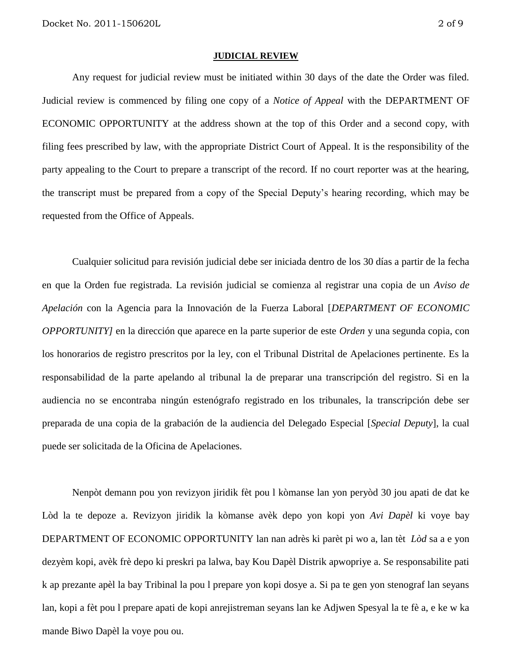#### **JUDICIAL REVIEW**

Any request for judicial review must be initiated within 30 days of the date the Order was filed. Judicial review is commenced by filing one copy of a *Notice of Appeal* with the DEPARTMENT OF ECONOMIC OPPORTUNITY at the address shown at the top of this Order and a second copy, with filing fees prescribed by law, with the appropriate District Court of Appeal. It is the responsibility of the party appealing to the Court to prepare a transcript of the record. If no court reporter was at the hearing, the transcript must be prepared from a copy of the Special Deputy's hearing recording, which may be requested from the Office of Appeals.

Cualquier solicitud para revisión judicial debe ser iniciada dentro de los 30 días a partir de la fecha en que la Orden fue registrada. La revisión judicial se comienza al registrar una copia de un *Aviso de Apelación* con la Agencia para la Innovación de la Fuerza Laboral [*DEPARTMENT OF ECONOMIC OPPORTUNITY]* en la dirección que aparece en la parte superior de este *Orden* y una segunda copia, con los honorarios de registro prescritos por la ley, con el Tribunal Distrital de Apelaciones pertinente. Es la responsabilidad de la parte apelando al tribunal la de preparar una transcripción del registro. Si en la audiencia no se encontraba ningún estenógrafo registrado en los tribunales, la transcripción debe ser preparada de una copia de la grabación de la audiencia del Delegado Especial [*Special Deputy*], la cual puede ser solicitada de la Oficina de Apelaciones.

Nenpòt demann pou yon revizyon jiridik fèt pou l kòmanse lan yon peryòd 30 jou apati de dat ke Lòd la te depoze a. Revizyon jiridik la kòmanse avèk depo yon kopi yon *Avi Dapèl* ki voye bay DEPARTMENT OF ECONOMIC OPPORTUNITY lan nan adrès ki parèt pi wo a, lan tèt *Lòd* sa a e yon dezyèm kopi, avèk frè depo ki preskri pa lalwa, bay Kou Dapèl Distrik apwopriye a. Se responsabilite pati k ap prezante apèl la bay Tribinal la pou l prepare yon kopi dosye a. Si pa te gen yon stenograf lan seyans lan, kopi a fèt pou l prepare apati de kopi anrejistreman seyans lan ke Adjwen Spesyal la te fè a, e ke w ka mande Biwo Dapèl la voye pou ou.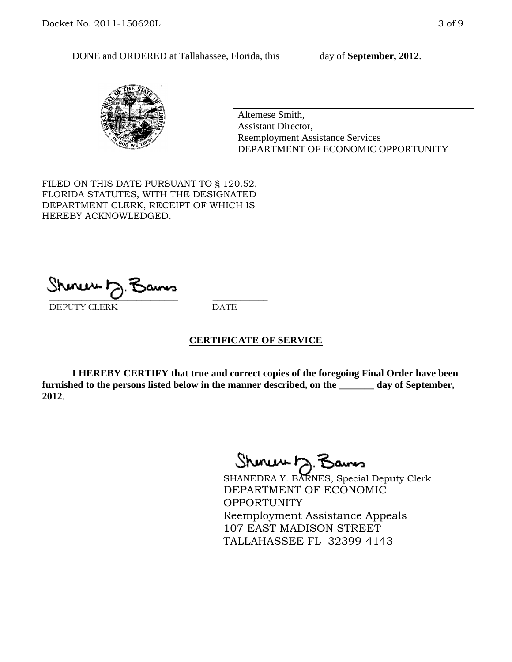DONE and ORDERED at Tallahassee, Florida, this \_\_\_\_\_\_\_ day of **September, 2012**.



Altemese Smith, Assistant Director, Reemployment Assistance Services DEPARTMENT OF ECONOMIC OPPORTUNITY

FILED ON THIS DATE PURSUANT TO § 120.52, FLORIDA STATUTES, WITH THE DESIGNATED DEPARTMENT CLERK, RECEIPT OF WHICH IS HEREBY ACKNOWLEDGED.

\_\_\_\_\_\_\_\_\_\_\_\_\_\_\_\_\_\_\_\_\_\_\_\_\_\_\_\_ \_\_\_\_\_\_\_\_\_\_\_\_ DEPUTY CLERK DATE

#### **CERTIFICATE OF SERVICE**

**I HEREBY CERTIFY that true and correct copies of the foregoing Final Order have been furnished to the persons listed below in the manner described, on the \_\_\_\_\_\_\_ day of September, 2012**.

Shinuu h.

SHANEDRA Y. BARNES, Special Deputy Clerk DEPARTMENT OF ECONOMIC **OPPORTUNITY** Reemployment Assistance Appeals 107 EAST MADISON STREET TALLAHASSEE FL 32399-4143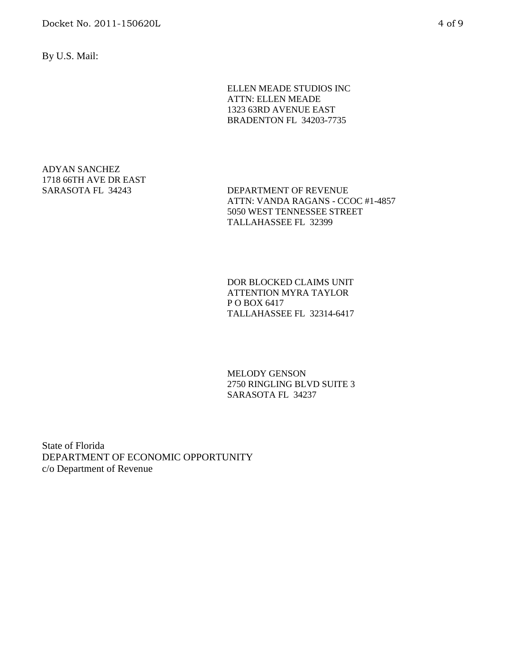By U.S. Mail:

ELLEN MEADE STUDIOS INC ATTN: ELLEN MEADE 1323 63RD AVENUE EAST BRADENTON FL 34203-7735

# ADYAN SANCHEZ 1718 66TH AVE DR EAST

SARASOTA FL 34243 DEPARTMENT OF REVENUE ATTN: VANDA RAGANS - CCOC #1-4857 5050 WEST TENNESSEE STREET TALLAHASSEE FL 32399

> DOR BLOCKED CLAIMS UNIT ATTENTION MYRA TAYLOR P O BOX 6417 TALLAHASSEE FL 32314-6417

> MELODY GENSON 2750 RINGLING BLVD SUITE 3 SARASOTA FL 34237

State of Florida DEPARTMENT OF ECONOMIC OPPORTUNITY c/o Department of Revenue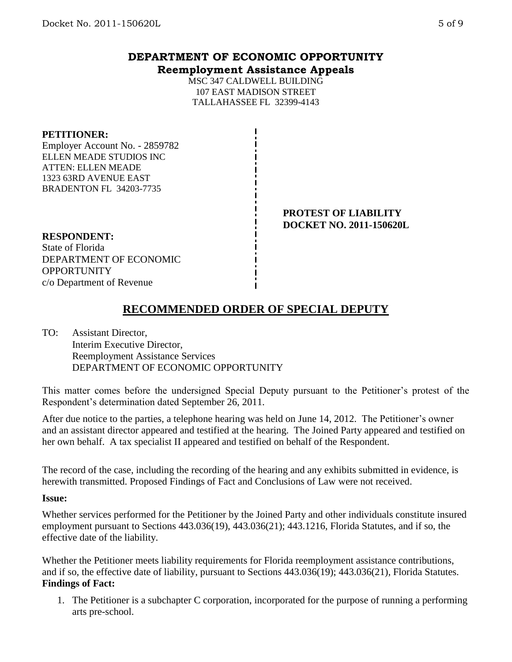## **DEPARTMENT OF ECONOMIC OPPORTUNITY Reemployment Assistance Appeals**

MSC 347 CALDWELL BUILDING 107 EAST MADISON STREET TALLAHASSEE FL 32399-4143

#### **PETITIONER:**

Employer Account No. - 2859782 ELLEN MEADE STUDIOS INC ATTEN: ELLEN MEADE 1323 63RD AVENUE EAST BRADENTON FL 34203-7735

> **PROTEST OF LIABILITY DOCKET NO. 2011-150620L**

#### **RESPONDENT:**

State of Florida DEPARTMENT OF ECONOMIC **OPPORTUNITY** c/o Department of Revenue

# **RECOMMENDED ORDER OF SPECIAL DEPUTY**

TO: Assistant Director, Interim Executive Director, Reemployment Assistance Services DEPARTMENT OF ECONOMIC OPPORTUNITY

This matter comes before the undersigned Special Deputy pursuant to the Petitioner's protest of the Respondent's determination dated September 26, 2011.

After due notice to the parties, a telephone hearing was held on June 14, 2012. The Petitioner's owner and an assistant director appeared and testified at the hearing. The Joined Party appeared and testified on her own behalf. A tax specialist II appeared and testified on behalf of the Respondent.

The record of the case, including the recording of the hearing and any exhibits submitted in evidence, is herewith transmitted. Proposed Findings of Fact and Conclusions of Law were not received.

#### **Issue:**

Whether services performed for the Petitioner by the Joined Party and other individuals constitute insured employment pursuant to Sections 443.036(19), 443.036(21); 443.1216, Florida Statutes, and if so, the effective date of the liability.

Whether the Petitioner meets liability requirements for Florida reemployment assistance contributions, and if so, the effective date of liability, pursuant to Sections 443.036(19); 443.036(21), Florida Statutes. **Findings of Fact:**

1. The Petitioner is a subchapter C corporation, incorporated for the purpose of running a performing arts pre-school.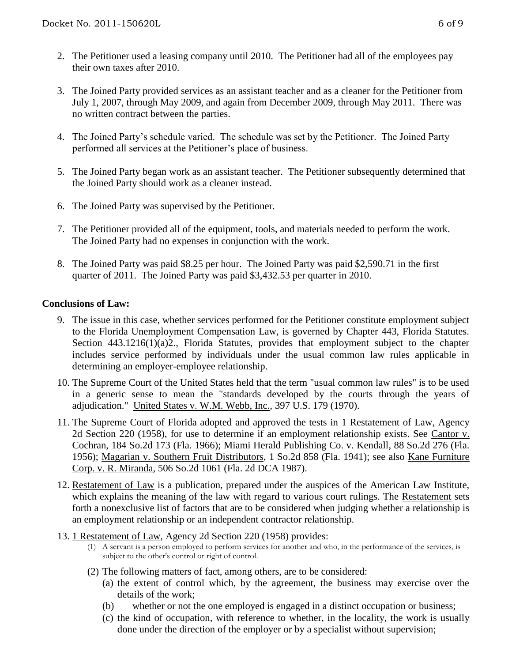- 2. The Petitioner used a leasing company until 2010. The Petitioner had all of the employees pay their own taxes after 2010.
- 3. The Joined Party provided services as an assistant teacher and as a cleaner for the Petitioner from July 1, 2007, through May 2009, and again from December 2009, through May 2011. There was no written contract between the parties.
- 4. The Joined Party's schedule varied. The schedule was set by the Petitioner. The Joined Party performed all services at the Petitioner's place of business.
- 5. The Joined Party began work as an assistant teacher. The Petitioner subsequently determined that the Joined Party should work as a cleaner instead.
- 6. The Joined Party was supervised by the Petitioner.
- 7. The Petitioner provided all of the equipment, tools, and materials needed to perform the work. The Joined Party had no expenses in conjunction with the work.
- 8. The Joined Party was paid \$8.25 per hour. The Joined Party was paid \$2,590.71 in the first quarter of 2011. The Joined Party was paid \$3,432.53 per quarter in 2010.

### **Conclusions of Law:**

- 9. The issue in this case, whether services performed for the Petitioner constitute employment subject to the Florida Unemployment Compensation Law, is governed by Chapter 443, Florida Statutes. Section 443.1216(1)(a)2., Florida Statutes, provides that employment subject to the chapter includes service performed by individuals under the usual common law rules applicable in determining an employer-employee relationship.
- 10. The Supreme Court of the United States held that the term "usual common law rules" is to be used in a generic sense to mean the "standards developed by the courts through the years of adjudication." United States v. W.M. Webb, Inc., 397 U.S. 179 (1970).
- 11. The Supreme Court of Florida adopted and approved the tests in 1 Restatement of Law, Agency 2d Section 220 (1958), for use to determine if an employment relationship exists. See Cantor v. Cochran, 184 So.2d 173 (Fla. 1966); Miami Herald Publishing Co. v. Kendall, 88 So.2d 276 (Fla. 1956); Magarian v. Southern Fruit Distributors, 1 So.2d 858 (Fla. 1941); see also Kane Furniture Corp. v. R. Miranda, 506 So.2d 1061 (Fla. 2d DCA 1987).
- 12. Restatement of Law is a publication, prepared under the auspices of the American Law Institute, which explains the meaning of the law with regard to various court rulings. The Restatement sets forth a nonexclusive list of factors that are to be considered when judging whether a relationship is an employment relationship or an independent contractor relationship.
- 13. 1 Restatement of Law, Agency 2d Section 220 (1958) provides:
	- (1) A servant is a person employed to perform services for another and who, in the performance of the services, is subject to the other's control or right of control.
	- (2) The following matters of fact, among others, are to be considered:
		- (a) the extent of control which, by the agreement, the business may exercise over the details of the work;
		- (b) whether or not the one employed is engaged in a distinct occupation or business;
		- (c) the kind of occupation, with reference to whether, in the locality, the work is usually done under the direction of the employer or by a specialist without supervision;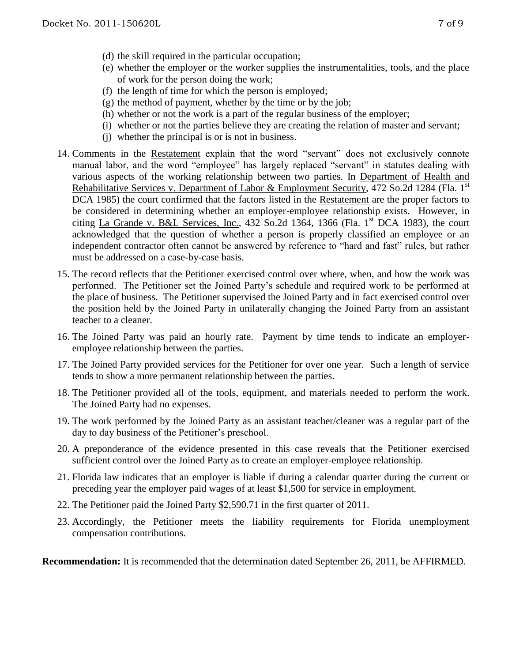- (d) the skill required in the particular occupation;
- (e) whether the employer or the worker supplies the instrumentalities, tools, and the place of work for the person doing the work;
- (f) the length of time for which the person is employed;
- $(g)$  the method of payment, whether by the time or by the job;
- (h) whether or not the work is a part of the regular business of the employer;
- (i) whether or not the parties believe they are creating the relation of master and servant;
- (j) whether the principal is or is not in business.
- 14. Comments in the Restatement explain that the word "servant" does not exclusively connote manual labor, and the word "employee" has largely replaced "servant" in statutes dealing with various aspects of the working relationship between two parties. In Department of Health and Rehabilitative Services v. Department of Labor & Employment Security, 472 So.2d 1284 (Fla. 1<sup>st</sup> DCA 1985) the court confirmed that the factors listed in the Restatement are the proper factors to be considered in determining whether an employer-employee relationship exists. However, in citing La Grande v. B&L Services, Inc.,  $432$  So.2d  $1364$ ,  $1366$  (Fla. 1<sup>st</sup> DCA 1983), the court acknowledged that the question of whether a person is properly classified an employee or an independent contractor often cannot be answered by reference to "hard and fast" rules, but rather must be addressed on a case-by-case basis.
- 15. The record reflects that the Petitioner exercised control over where, when, and how the work was performed. The Petitioner set the Joined Party's schedule and required work to be performed at the place of business. The Petitioner supervised the Joined Party and in fact exercised control over the position held by the Joined Party in unilaterally changing the Joined Party from an assistant teacher to a cleaner.
- 16. The Joined Party was paid an hourly rate. Payment by time tends to indicate an employeremployee relationship between the parties.
- 17. The Joined Party provided services for the Petitioner for over one year. Such a length of service tends to show a more permanent relationship between the parties.
- 18. The Petitioner provided all of the tools, equipment, and materials needed to perform the work. The Joined Party had no expenses.
- 19. The work performed by the Joined Party as an assistant teacher/cleaner was a regular part of the day to day business of the Petitioner's preschool.
- 20. A preponderance of the evidence presented in this case reveals that the Petitioner exercised sufficient control over the Joined Party as to create an employer-employee relationship.
- 21. Florida law indicates that an employer is liable if during a calendar quarter during the current or preceding year the employer paid wages of at least \$1,500 for service in employment.
- 22. The Petitioner paid the Joined Party \$2,590.71 in the first quarter of 2011.
- 23. Accordingly, the Petitioner meets the liability requirements for Florida unemployment compensation contributions.

**Recommendation:** It is recommended that the determination dated September 26, 2011, be AFFIRMED.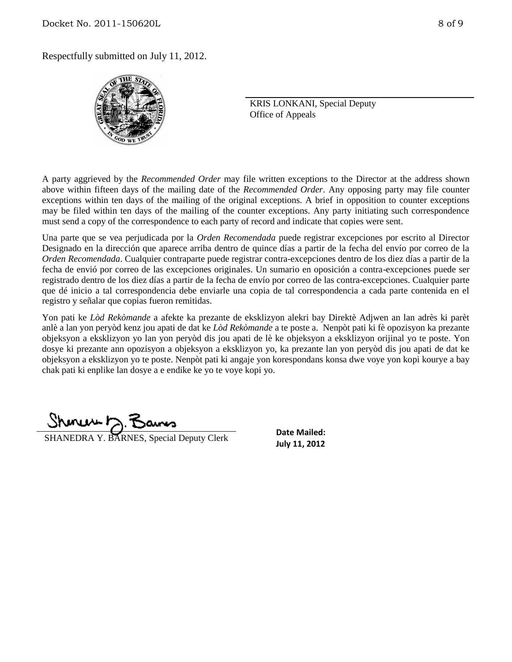

KRIS LONKANI, Special Deputy Office of Appeals

A party aggrieved by the *Recommended Order* may file written exceptions to the Director at the address shown above within fifteen days of the mailing date of the *Recommended Order*. Any opposing party may file counter exceptions within ten days of the mailing of the original exceptions. A brief in opposition to counter exceptions may be filed within ten days of the mailing of the counter exceptions. Any party initiating such correspondence must send a copy of the correspondence to each party of record and indicate that copies were sent.

Una parte que se vea perjudicada por la *Orden Recomendada* puede registrar excepciones por escrito al Director Designado en la dirección que aparece arriba dentro de quince días a partir de la fecha del envío por correo de la *Orden Recomendada*. Cualquier contraparte puede registrar contra-excepciones dentro de los diez días a partir de la fecha de envió por correo de las excepciones originales. Un sumario en oposición a contra-excepciones puede ser registrado dentro de los diez días a partir de la fecha de envío por correo de las contra-excepciones. Cualquier parte que dé inicio a tal correspondencia debe enviarle una copia de tal correspondencia a cada parte contenida en el registro y señalar que copias fueron remitidas.

Yon pati ke *Lòd Rekòmande* a afekte ka prezante de eksklizyon alekri bay Direktè Adjwen an lan adrès ki parèt anlè a lan yon peryòd kenz jou apati de dat ke *Lòd Rekòmande* a te poste a. Nenpòt pati ki fè opozisyon ka prezante objeksyon a eksklizyon yo lan yon peryòd dis jou apati de lè ke objeksyon a eksklizyon orijinal yo te poste. Yon dosye ki prezante ann opozisyon a objeksyon a eksklizyon yo, ka prezante lan yon peryòd dis jou apati de dat ke objeksyon a eksklizyon yo te poste. Nenpòt pati ki angaje yon korespondans konsa dwe voye yon kopi kourye a bay chak pati ki enplike lan dosye a e endike ke yo te voye kopi yo.

سماسته

**SHANEDRA Y. BARNES, Special Deputy Clerk SHANEDRA Y. BARNES**, Special Deputy Clerk

**Date Mailed:**